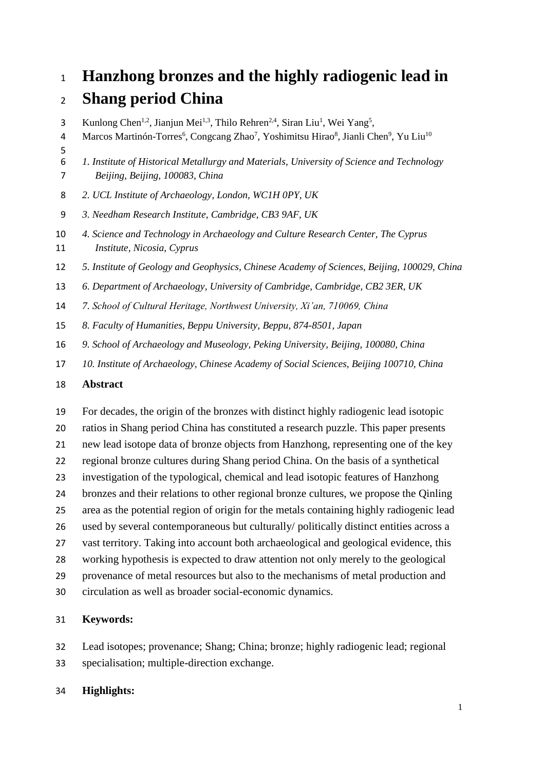# **Hanzhong bronzes and the highly radiogenic lead in**

## **Shang period China**

3 Kunlong Chen<sup>1,2</sup>, Jianjun Mei<sup>1,3</sup>, Thilo Rehren<sup>2,4</sup>, Siran Liu<sup>1</sup>, Wei Yang<sup>5</sup>,

- 4 Marcos Martinón-Torres<sup>6</sup>, Congcang Zhao<sup>7</sup>, Yoshimitsu Hirao<sup>8</sup>, Jianli Chen<sup>9</sup>, Yu Liu<sup>10</sup>
- *1. Institute of Historical Metallurgy and Materials, University of Science and Technology Beijing, Beijing, 100083, China*
- *2. UCL Institute of Archaeology, London, WC1H 0PY, UK*
- *3. Needham Research Institute, Cambridge, CB3 9AF, UK*
- *4. Science and Technology in Archaeology and Culture Research Center, The Cyprus Institute, Nicosia, Cyprus*
- *5. Institute of Geology and Geophysics, Chinese Academy of Sciences, Beijing, 100029, China*
- *6. Department of Archaeology, University of Cambridge, Cambridge, CB2 3ER, UK*
- *7. School of Cultural Heritage, Northwest University, Xi'an, 710069, China*
- *8. Faculty of Humanities, Beppu University, Beppu, 874-8501, Japan*
- *9. School of Archaeology and Museology, Peking University, Beijing, 100080, China*
- *10. Institute of Archaeology, Chinese Academy of Social Sciences, Beijing 100710, China*

## **Abstract**

 For decades, the origin of the bronzes with distinct highly radiogenic lead isotopic ratios in Shang period China has constituted a research puzzle. This paper presents new lead isotope data of bronze objects from Hanzhong, representing one of the key regional bronze cultures during Shang period China. On the basis of a synthetical investigation of the typological, chemical and lead isotopic features of Hanzhong bronzes and their relations to other regional bronze cultures, we propose the Qinling area as the potential region of origin for the metals containing highly radiogenic lead used by several contemporaneous but culturally/ politically distinct entities across a vast territory. Taking into account both archaeological and geological evidence, this working hypothesis is expected to draw attention not only merely to the geological provenance of metal resources but also to the mechanisms of metal production and

circulation as well as broader social-economic dynamics.

## **Keywords:**

 Lead isotopes; provenance; Shang; China; bronze; highly radiogenic lead; regional specialisation; multiple-direction exchange.

## **Highlights:**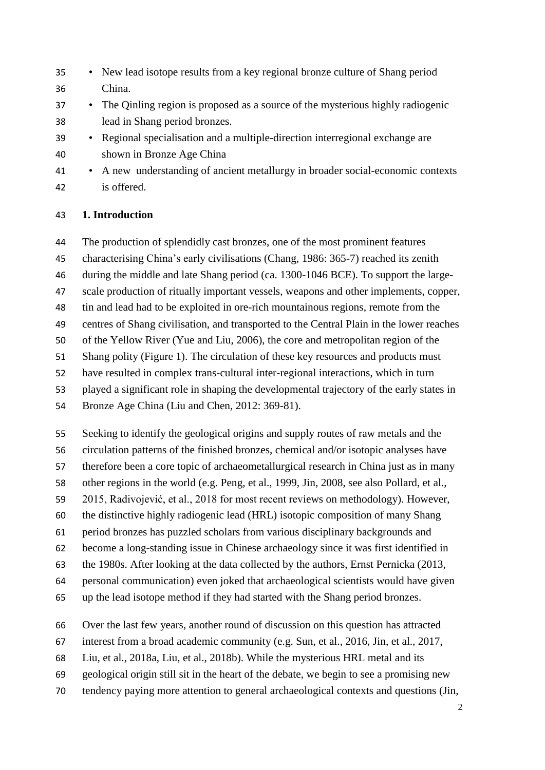- New lead isotope results from a key regional bronze culture of Shang period China.
- The Qinling region is proposed as a source of the mysterious highly radiogenic lead in Shang period bronzes.
- Regional specialisation and a multiple-direction interregional exchange are shown in Bronze Age China
- A new understanding of ancient metallurgy in broader social-economic contexts is offered.

#### **1. Introduction**

The production of splendidly cast bronzes, one of the most prominent features

characterising China's early civilisations (Chang, 1986: 365-7) reached its zenith

during the middle and late Shang period (ca. 1300-1046 BCE). To support the large-

- scale production of ritually important vessels, weapons and other implements, copper,
- tin and lead had to be exploited in ore-rich mountainous regions, remote from the

centres of Shang civilisation, and transported to the Central Plain in the lower reaches

of the Yellow River (Yue and Liu, 2006), the core and metropolitan region of the

Shang polity (Figure 1). The circulation of these key resources and products must

have resulted in complex trans-cultural inter-regional interactions, which in turn

played a significant role in shaping the developmental trajectory of the early states in

Bronze Age China (Liu and Chen, 2012: 369-81).

Seeking to identify the geological origins and supply routes of raw metals and the

circulation patterns of the finished bronzes, chemical and/or isotopic analyses have

therefore been a core topic of archaeometallurgical research in China just as in many

other regions in the world (e.g. Peng, et al., 1999, Jin, 2008, see also Pollard, et al.,

2015, Radivojević, et al., 2018 for most recent reviews on methodology). However,

the distinctive highly radiogenic lead (HRL) isotopic composition of many Shang

period bronzes has puzzled scholars from various disciplinary backgrounds and

become a long-standing issue in Chinese archaeology since it was first identified in

the 1980s. After looking at the data collected by the authors, Ernst Pernicka (2013,

personal communication) even joked that archaeological scientists would have given

up the lead isotope method if they had started with the Shang period bronzes.

Over the last few years, another round of discussion on this question has attracted

interest from a broad academic community (e.g. Sun, et al., 2016, Jin, et al., 2017,

Liu, et al., 2018a, Liu, et al., 2018b). While the mysterious HRL metal and its

- geological origin still sit in the heart of the debate, we begin to see a promising new
- tendency paying more attention to general archaeological contexts and questions (Jin,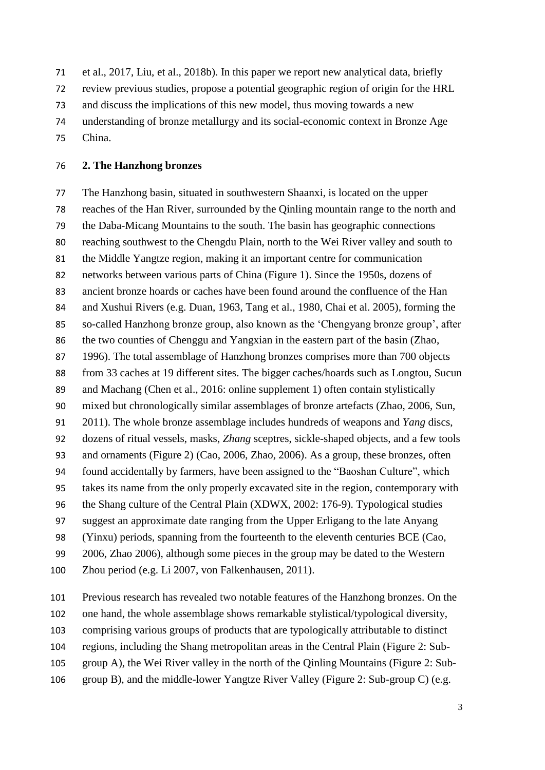et al., 2017, Liu, et al., 2018b). In this paper we report new analytical data, briefly

review previous studies, propose a potential geographic region of origin for the HRL

and discuss the implications of this new model, thus moving towards a new

- understanding of bronze metallurgy and its social-economic context in Bronze Age
- China.

#### **2. The Hanzhong bronzes**

 The Hanzhong basin, situated in southwestern Shaanxi, is located on the upper reaches of the Han River, surrounded by the Qinling mountain range to the north and the Daba-Micang Mountains to the south. The basin has geographic connections reaching southwest to the Chengdu Plain, north to the Wei River valley and south to the Middle Yangtze region, making it an important centre for communication networks between various parts of China (Figure 1). Since the 1950s, dozens of ancient bronze hoards or caches have been found around the confluence of the Han and Xushui Rivers (e.g. Duan, 1963, Tang et al., 1980, Chai et al. 2005), forming the so-called Hanzhong bronze group, also known as the 'Chengyang bronze group', after the two counties of Chenggu and Yangxian in the eastern part of the basin (Zhao, 1996). The total assemblage of Hanzhong bronzes comprises more than 700 objects from 33 caches at 19 different sites. The bigger caches/hoards such as Longtou, Sucun and Machang (Chen et al., 2016: online supplement 1) often contain stylistically mixed but chronologically similar assemblages of bronze artefacts (Zhao, 2006, Sun, 2011). The whole bronze assemblage includes hundreds of weapons and *Yang* discs, dozens of ritual vessels, masks, *Zhang* sceptres, sickle-shaped objects, and a few tools and ornaments (Figure 2) (Cao, 2006, Zhao, 2006). As a group, these bronzes, often found accidentally by farmers, have been assigned to the "Baoshan Culture", which takes its name from the only properly excavated site in the region, contemporary with the Shang culture of the Central Plain (XDWX, 2002: 176-9). Typological studies suggest an approximate date ranging from the Upper Erligang to the late Anyang (Yinxu) periods, spanning from the fourteenth to the eleventh centuries BCE (Cao, 2006, Zhao 2006), although some pieces in the group may be dated to the Western Zhou period (e.g. Li 2007, von Falkenhausen, 2011).

 Previous research has revealed two notable features of the Hanzhong bronzes. On the one hand, the whole assemblage shows remarkable stylistical/typological diversity, comprising various groups of products that are typologically attributable to distinct regions, including the Shang metropolitan areas in the Central Plain (Figure 2: Sub- group A), the Wei River valley in the north of the Qinling Mountains (Figure 2: Sub-group B), and the middle-lower Yangtze River Valley (Figure 2: Sub-group C) (e.g.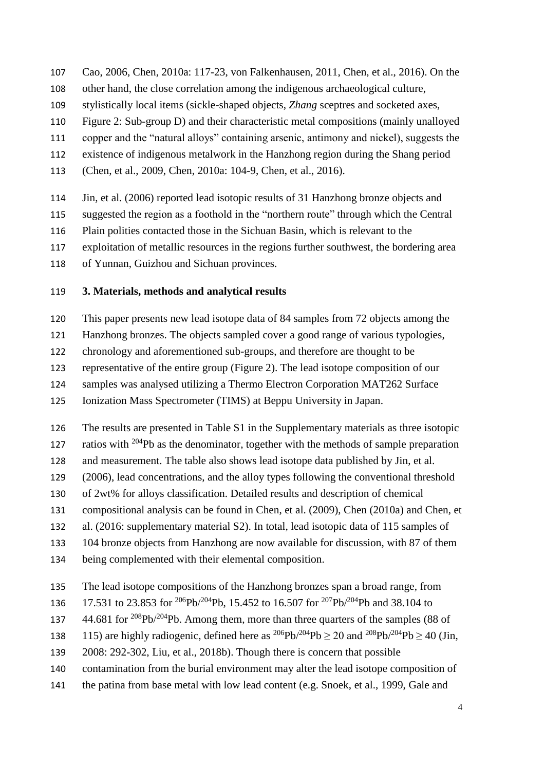- Cao, 2006, Chen, 2010a: 117-23, von Falkenhausen, 2011, Chen, et al., 2016). On the
- other hand, the close correlation among the indigenous archaeological culture,
- stylistically local items (sickle-shaped objects, *Zhang* sceptres and socketed axes,
- Figure 2: Sub-group D) and their characteristic metal compositions (mainly unalloyed
- copper and the "natural alloys" containing arsenic, antimony and nickel), suggests the
- existence of indigenous metalwork in the Hanzhong region during the Shang period
- (Chen, et al., 2009, Chen, 2010a: 104-9, Chen, et al., 2016).
- Jin, et al. (2006) reported lead isotopic results of 31 Hanzhong bronze objects and
- suggested the region as a foothold in the "northern route" through which the Central
- Plain polities contacted those in the Sichuan Basin, which is relevant to the
- exploitation of metallic resources in the regions further southwest, the bordering area
- of Yunnan, Guizhou and Sichuan provinces.

### **3. Materials, methods and analytical results**

- This paper presents new lead isotope data of 84 samples from 72 objects among the
- Hanzhong bronzes. The objects sampled cover a good range of various typologies,
- chronology and aforementioned sub-groups, and therefore are thought to be
- representative of the entire group (Figure 2). The lead isotope composition of our
- samples was analysed utilizing a Thermo Electron Corporation MAT262 Surface
- Ionization Mass Spectrometer (TIMS) at Beppu University in Japan.
- The results are presented in Table S1 in the Supplementary materials as three isotopic
- ratios with Pb as the denominator, together with the methods of sample preparation
- and measurement. The table also shows lead isotope data published by Jin, et al.
- (2006), lead concentrations, and the alloy types following the conventional threshold
- of 2wt% for alloys classification. Detailed results and description of chemical
- compositional analysis can be found in Chen, et al. (2009), Chen (2010a) and Chen, et
- al. (2016: supplementary material S2). In total, lead isotopic data of 115 samples of
- 104 bronze objects from Hanzhong are now available for discussion, with 87 of them
- being complemented with their elemental composition.
- The lead isotope compositions of the Hanzhong bronzes span a broad range, from
- 136 17.531 to 23.853 for <sup>206</sup>Pb/<sup>204</sup>Pb, 15.452 to 16.507 for <sup>207</sup>Pb/<sup>204</sup>Pb and 38.104 to
- 44.681 for  $\frac{208}{\text{Pb}}\frac{204}{\text{Pb}}$ . Among them, more than three quarters of the samples (88 of
- 138 115) are highly radiogenic, defined here as  $^{206}Pb^{204}Pb > 20$  and  $^{208}Pb^{204}Pb > 40$  (Jin,
- 2008: 292-302, Liu, et al., 2018b). Though there is concern that possible
- contamination from the burial environment may alter the lead isotope composition of
- the patina from base metal with low lead content (e.g. Snoek, et al., 1999, Gale and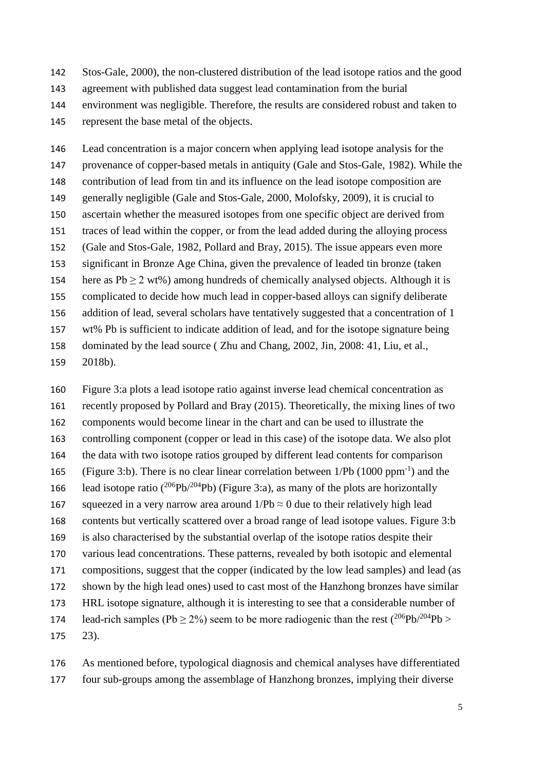Stos-Gale, 2000), the non-clustered distribution of the lead isotope ratios and the good agreement with published data suggest lead contamination from the burial environment was negligible. Therefore, the results are considered robust and taken to represent the base metal of the objects.

 Lead concentration is a major concern when applying lead isotope analysis for the provenance of copper-based metals in antiquity (Gale and Stos-Gale, 1982). While the contribution of lead from tin and its influence on the lead isotope composition are generally negligible (Gale and Stos-Gale, 2000, Molofsky, 2009), it is crucial to ascertain whether the measured isotopes from one specific object are derived from traces of lead within the copper, or from the lead added during the alloying process (Gale and Stos-Gale, 1982, Pollard and Bray, 2015). The issue appears even more significant in Bronze Age China, given the prevalence of leaded tin bronze (taken 154 here as  $Pb \ge 2$  wt%) among hundreds of chemically analysed objects. Although it is complicated to decide how much lead in copper-based alloys can signify deliberate addition of lead, several scholars have tentatively suggested that a concentration of 1 wt% Pb is sufficient to indicate addition of lead, and for the isotope signature being dominated by the lead source ( Zhu and Chang, 2002, Jin, 2008: 41, Liu, et al., 2018b).

 Figure 3:a plots a lead isotope ratio against inverse lead chemical concentration as recently proposed by Pollard and Bray (2015). Theoretically, the mixing lines of two components would become linear in the chart and can be used to illustrate the controlling component (copper or lead in this case) of the isotope data. We also plot the data with two isotope ratios grouped by different lead contents for comparison 165 (Figure 3:b). There is no clear linear correlation between  $1/Pb(1000 ppm^{-1})$  and the 166 lead isotope ratio ( $^{206}Pb/^{204}Pb$ ) (Figure 3:a), as many of the plots are horizontally 167 squeezed in a very narrow area around  $1/Pb \approx 0$  due to their relatively high lead contents but vertically scattered over a broad range of lead isotope values. Figure 3:b is also characterised by the substantial overlap of the isotope ratios despite their various lead concentrations. These patterns, revealed by both isotopic and elemental compositions, suggest that the copper (indicated by the low lead samples) and lead (as shown by the high lead ones) used to cast most of the Hanzhong bronzes have similar HRL isotope signature, although it is interesting to see that a considerable number of 174 lead-rich samples (Pb  $\geq$  2%) seem to be more radiogenic than the rest (<sup>206</sup>Pb/<sup>204</sup>Pb > 23).

 As mentioned before, typological diagnosis and chemical analyses have differentiated four sub-groups among the assemblage of Hanzhong bronzes, implying their diverse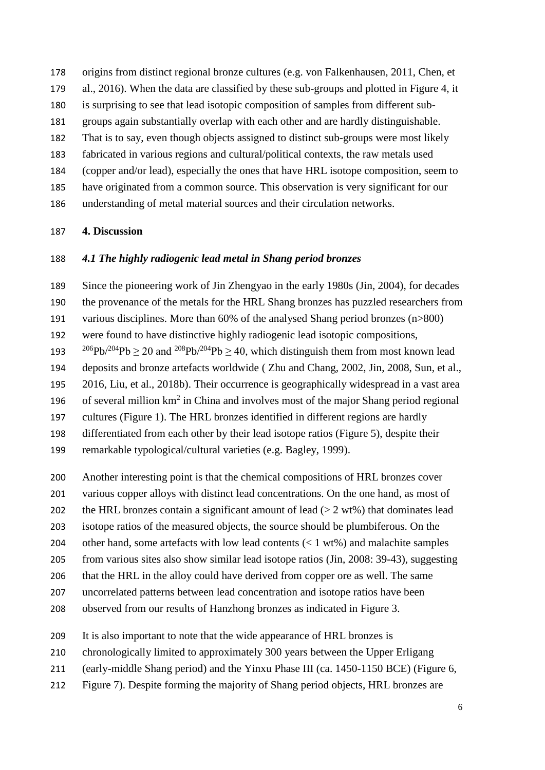origins from distinct regional bronze cultures (e.g. von Falkenhausen, 2011, Chen, et al., 2016). When the data are classified by these sub-groups and plotted in Figure 4, it is surprising to see that lead isotopic composition of samples from different sub- groups again substantially overlap with each other and are hardly distinguishable. That is to say, even though objects assigned to distinct sub-groups were most likely fabricated in various regions and cultural/political contexts, the raw metals used (copper and/or lead), especially the ones that have HRL isotope composition, seem to have originated from a common source. This observation is very significant for our understanding of metal material sources and their circulation networks.

#### **4. Discussion**

#### *4.1 The highly radiogenic lead metal in Shang period bronzes*

 Since the pioneering work of Jin Zhengyao in the early 1980s (Jin, 2004), for decades the provenance of the metals for the HRL Shang bronzes has puzzled researchers from various disciplines. More than 60% of the analysed Shang period bronzes (n>800) were found to have distinctive highly radiogenic lead isotopic compositions, 206Pb/<sup>204</sup>Pb  $\geq$  20 and <sup>208</sup>Pb/<sup>204</sup>Pb  $\geq$  40, which distinguish them from most known lead deposits and bronze artefacts worldwide ( Zhu and Chang, 2002, Jin, 2008, Sun, et al., 2016, Liu, et al., 2018b). Their occurrence is geographically widespread in a vast area 196 of several million  $km^2$  in China and involves most of the major Shang period regional cultures (Figure 1). The HRL bronzes identified in different regions are hardly

differentiated from each other by their lead isotope ratios (Figure 5), despite their

remarkable typological/cultural varieties (e.g. Bagley, 1999).

Another interesting point is that the chemical compositions of HRL bronzes cover

various copper alloys with distinct lead concentrations. On the one hand, as most of

202 the HRL bronzes contain a significant amount of lead ( $> 2$  wt%) that dominates lead

isotope ratios of the measured objects, the source should be plumbiferous. On the

other hand, some artefacts with low lead contents (< 1 wt%) and malachite samples

from various sites also show similar lead isotope ratios (Jin, 2008: 39-43), suggesting

that the HRL in the alloy could have derived from copper ore as well. The same

uncorrelated patterns between lead concentration and isotope ratios have been

observed from our results of Hanzhong bronzes as indicated in Figure 3.

It is also important to note that the wide appearance of HRL bronzes is

chronologically limited to approximately 300 years between the Upper Erligang

(early-middle Shang period) and the Yinxu Phase III (ca. 1450-1150 BCE) (Figure 6,

Figure 7). Despite forming the majority of Shang period objects, HRL bronzes are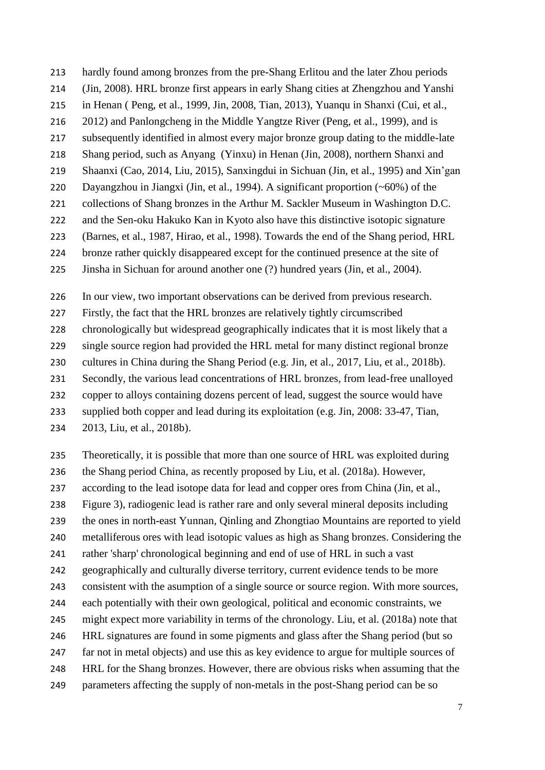hardly found among bronzes from the pre-Shang Erlitou and the later Zhou periods (Jin, 2008). HRL bronze first appears in early Shang cities at Zhengzhou and Yanshi in Henan ( Peng, et al., 1999, Jin, 2008, Tian, 2013), Yuanqu in Shanxi (Cui, et al., 2012) and Panlongcheng in the Middle Yangtze River (Peng, et al., 1999), and is subsequently identified in almost every major bronze group dating to the middle-late Shang period, such as Anyang (Yinxu) in Henan (Jin, 2008), northern Shanxi and Shaanxi (Cao, 2014, Liu, 2015), Sanxingdui in Sichuan (Jin, et al., 1995) and Xin'gan Dayangzhou in Jiangxi (Jin, et al., 1994). A significant proportion (~60%) of the collections of Shang bronzes in the Arthur M. Sackler Museum in Washington D.C. and the Sen-oku Hakuko Kan in Kyoto also have this distinctive isotopic signature

- (Barnes, et al., 1987, Hirao, et al., 1998). Towards the end of the Shang period, HRL
- bronze rather quickly disappeared except for the continued presence at the site of
- Jinsha in Sichuan for around another one (?) hundred years (Jin, et al., 2004).

In our view, two important observations can be derived from previous research.

Firstly, the fact that the HRL bronzes are relatively tightly circumscribed

chronologically but widespread geographically indicates that it is most likely that a

single source region had provided the HRL metal for many distinct regional bronze

cultures in China during the Shang Period (e.g. Jin, et al., 2017, Liu, et al., 2018b).

Secondly, the various lead concentrations of HRL bronzes, from lead-free unalloyed

copper to alloys containing dozens percent of lead, suggest the source would have

 supplied both copper and lead during its exploitation (e.g. Jin, 2008: 33-47, Tian, 2013, Liu, et al., 2018b).

 Theoretically, it is possible that more than one source of HRL was exploited during the Shang period China, as recently proposed by Liu, et al. (2018a). However, according to the lead isotope data for lead and copper ores from China (Jin, et al., Figure 3), radiogenic lead is rather rare and only several mineral deposits including the ones in north-east Yunnan, Qinling and Zhongtiao Mountains are reported to yield metalliferous ores with lead isotopic values as high as Shang bronzes. Considering the rather 'sharp' chronological beginning and end of use of HRL in such a vast geographically and culturally diverse territory, current evidence tends to be more consistent with the asumption of a single source or source region. With more sources, each potentially with their own geological, political and economic constraints, we might expect more variability in terms of the chronology. Liu, et al. (2018a) note that HRL signatures are found in some pigments and glass after the Shang period (but so far not in metal objects) and use this as key evidence to argue for multiple sources of HRL for the Shang bronzes. However, there are obvious risks when assuming that the parameters affecting the supply of non-metals in the post-Shang period can be so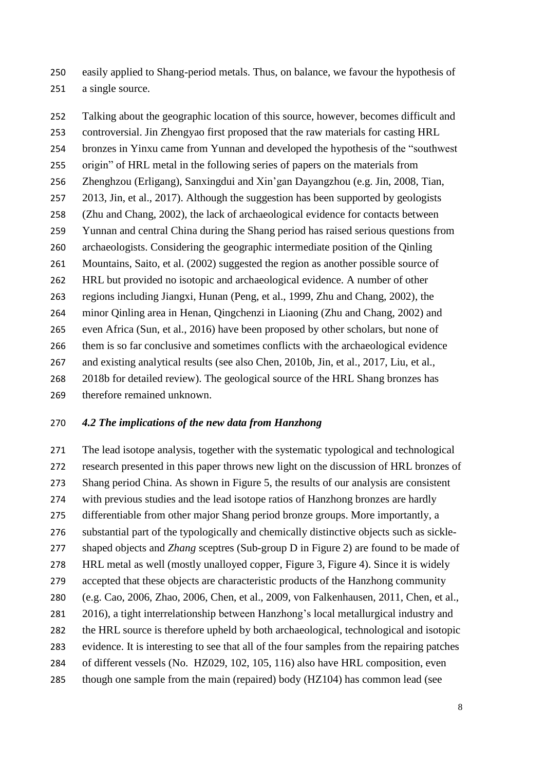easily applied to Shang-period metals. Thus, on balance, we favour the hypothesis of a single source.

 Talking about the geographic location of this source, however, becomes difficult and controversial. Jin Zhengyao first proposed that the raw materials for casting HRL bronzes in Yinxu came from Yunnan and developed the hypothesis of the "southwest origin" of HRL metal in the following series of papers on the materials from Zhenghzou (Erligang), Sanxingdui and Xin'gan Dayangzhou (e.g. Jin, 2008, Tian, 2013, Jin, et al., 2017). Although the suggestion has been supported by geologists (Zhu and Chang, 2002), the lack of archaeological evidence for contacts between Yunnan and central China during the Shang period has raised serious questions from archaeologists. Considering the geographic intermediate position of the Qinling Mountains, Saito, et al. (2002) suggested the region as another possible source of HRL but provided no isotopic and archaeological evidence. A number of other regions including Jiangxi, Hunan (Peng, et al., 1999, Zhu and Chang, 2002), the minor Qinling area in Henan, Qingchenzi in Liaoning (Zhu and Chang, 2002) and even Africa (Sun, et al., 2016) have been proposed by other scholars, but none of them is so far conclusive and sometimes conflicts with the archaeological evidence and existing analytical results (see also Chen, 2010b, Jin, et al., 2017, Liu, et al., 2018b for detailed review). The geological source of the HRL Shang bronzes has therefore remained unknown.

#### *4.2 The implications of the new data from Hanzhong*

 The lead isotope analysis, together with the systematic typological and technological research presented in this paper throws new light on the discussion of HRL bronzes of Shang period China. As shown in Figure 5, the results of our analysis are consistent with previous studies and the lead isotope ratios of Hanzhong bronzes are hardly differentiable from other major Shang period bronze groups. More importantly, a substantial part of the typologically and chemically distinctive objects such as sickle- shaped objects and *Zhang* sceptres (Sub-group D in Figure 2) are found to be made of HRL metal as well (mostly unalloyed copper, Figure 3, Figure 4). Since it is widely accepted that these objects are characteristic products of the Hanzhong community (e.g. Cao, 2006, Zhao, 2006, Chen, et al., 2009, von Falkenhausen, 2011, Chen, et al., 2016), a tight interrelationship between Hanzhong's local metallurgical industry and the HRL source is therefore upheld by both archaeological, technological and isotopic evidence. It is interesting to see that all of the four samples from the repairing patches of different vessels (No. HZ029, 102, 105, 116) also have HRL composition, even though one sample from the main (repaired) body (HZ104) has common lead (see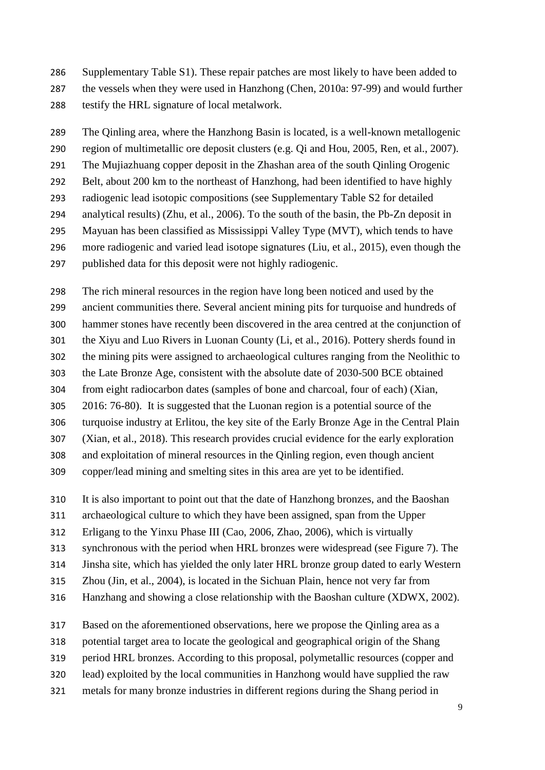Supplementary Table S1). These repair patches are most likely to have been added to the vessels when they were used in Hanzhong (Chen, 2010a: 97-99) and would further testify the HRL signature of local metalwork.

 The Qinling area, where the Hanzhong Basin is located, is a well-known metallogenic region of multimetallic ore deposit clusters (e.g. Qi and Hou, 2005, Ren, et al., 2007). The Mujiazhuang copper deposit in the Zhashan area of the south Qinling Orogenic Belt, about 200 km to the northeast of Hanzhong, had been identified to have highly radiogenic lead isotopic compositions (see Supplementary Table S2 for detailed analytical results) (Zhu, et al., 2006). To the south of the basin, the Pb-Zn deposit in Mayuan has been classified as Mississippi Valley Type (MVT), which tends to have more radiogenic and varied lead isotope signatures (Liu, et al., 2015), even though the published data for this deposit were not highly radiogenic.

 The rich mineral resources in the region have long been noticed and used by the ancient communities there. Several ancient mining pits for turquoise and hundreds of hammer stones have recently been discovered in the area centred at the conjunction of the Xiyu and Luo Rivers in Luonan County (Li, et al., 2016). Pottery sherds found in the mining pits were assigned to archaeological cultures ranging from the Neolithic to the Late Bronze Age, consistent with the absolute date of 2030-500 BCE obtained from eight radiocarbon dates (samples of bone and charcoal, four of each) (Xian, 2016: 76-80). It is suggested that the Luonan region is a potential source of the turquoise industry at Erlitou, the key site of the Early Bronze Age in the Central Plain (Xian, et al., 2018). This research provides crucial evidence for the early exploration and exploitation of mineral resources in the Qinling region, even though ancient copper/lead mining and smelting sites in this area are yet to be identified.

It is also important to point out that the date of Hanzhong bronzes, and the Baoshan

archaeological culture to which they have been assigned, span from the Upper

Erligang to the Yinxu Phase III (Cao, 2006, Zhao, 2006), which is virtually

synchronous with the period when HRL bronzes were widespread (see Figure 7). The

Jinsha site, which has yielded the only later HRL bronze group dated to early Western

Zhou (Jin, et al., 2004), is located in the Sichuan Plain, hence not very far from

Hanzhang and showing a close relationship with the Baoshan culture (XDWX, 2002).

Based on the aforementioned observations, here we propose the Qinling area as a

potential target area to locate the geological and geographical origin of the Shang

period HRL bronzes. According to this proposal, polymetallic resources (copper and

lead) exploited by the local communities in Hanzhong would have supplied the raw

metals for many bronze industries in different regions during the Shang period in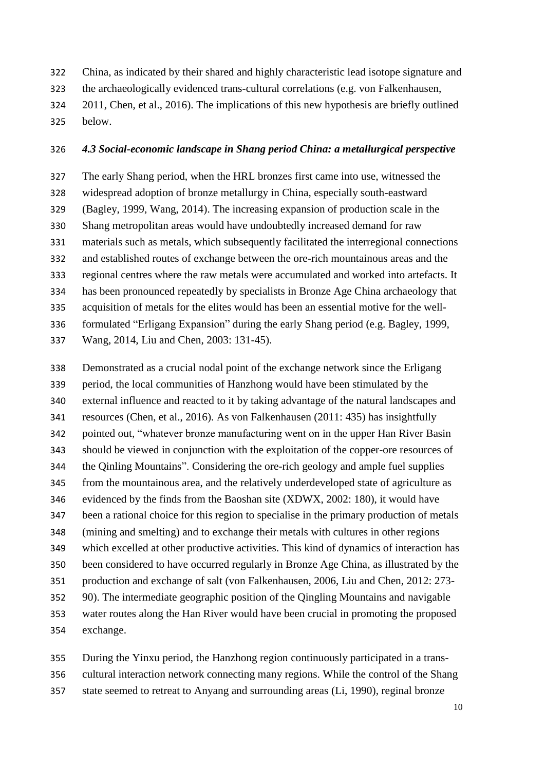China, as indicated by their shared and highly characteristic lead isotope signature and

the archaeologically evidenced trans-cultural correlations (e.g. von Falkenhausen,

- 2011, Chen, et al., 2016). The implications of this new hypothesis are briefly outlined
- below.

#### *4.3 Social-economic landscape in Shang period China: a metallurgical perspective*

 The early Shang period, when the HRL bronzes first came into use, witnessed the widespread adoption of bronze metallurgy in China, especially south-eastward (Bagley, 1999, Wang, 2014). The increasing expansion of production scale in the Shang metropolitan areas would have undoubtedly increased demand for raw materials such as metals, which subsequently facilitated the interregional connections and established routes of exchange between the ore-rich mountainous areas and the regional centres where the raw metals were accumulated and worked into artefacts. It has been pronounced repeatedly by specialists in Bronze Age China archaeology that acquisition of metals for the elites would has been an essential motive for the well- formulated "Erligang Expansion" during the early Shang period (e.g. Bagley, 1999, Wang, 2014, Liu and Chen, 2003: 131-45).

 Demonstrated as a crucial nodal point of the exchange network since the Erligang period, the local communities of Hanzhong would have been stimulated by the external influence and reacted to it by taking advantage of the natural landscapes and resources (Chen, et al., 2016). As von Falkenhausen (2011: 435) has insightfully pointed out, "whatever bronze manufacturing went on in the upper Han River Basin should be viewed in conjunction with the exploitation of the copper-ore resources of the Qinling Mountains". Considering the ore-rich geology and ample fuel supplies from the mountainous area, and the relatively underdeveloped state of agriculture as evidenced by the finds from the Baoshan site (XDWX, 2002: 180), it would have been a rational choice for this region to specialise in the primary production of metals (mining and smelting) and to exchange their metals with cultures in other regions which excelled at other productive activities. This kind of dynamics of interaction has been considered to have occurred regularly in Bronze Age China, as illustrated by the production and exchange of salt (von Falkenhausen, 2006, Liu and Chen, 2012: 273- 90). The intermediate geographic position of the Qingling Mountains and navigable water routes along the Han River would have been crucial in promoting the proposed exchange.

 During the Yinxu period, the Hanzhong region continuously participated in a trans- cultural interaction network connecting many regions. While the control of the Shang state seemed to retreat to Anyang and surrounding areas (Li, 1990), reginal bronze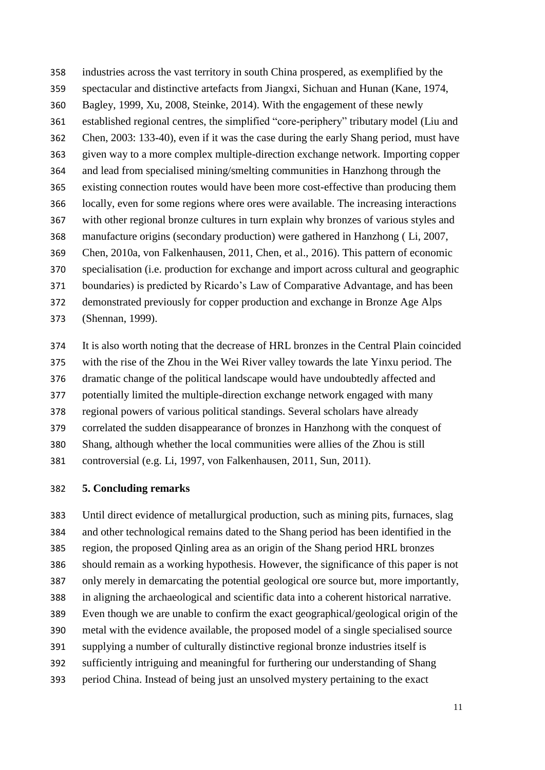industries across the vast territory in south China prospered, as exemplified by the spectacular and distinctive artefacts from Jiangxi, Sichuan and Hunan (Kane, 1974, Bagley, 1999, Xu, 2008, Steinke, 2014). With the engagement of these newly established regional centres, the simplified "core-periphery" tributary model (Liu and Chen, 2003: 133-40), even if it was the case during the early Shang period, must have given way to a more complex multiple-direction exchange network. Importing copper and lead from specialised mining/smelting communities in Hanzhong through the existing connection routes would have been more cost-effective than producing them locally, even for some regions where ores were available. The increasing interactions with other regional bronze cultures in turn explain why bronzes of various styles and manufacture origins (secondary production) were gathered in Hanzhong ( Li, 2007, Chen, 2010a, von Falkenhausen, 2011, Chen, et al., 2016). This pattern of economic specialisation (i.e. production for exchange and import across cultural and geographic boundaries) is predicted by Ricardo's Law of Comparative Advantage, and has been demonstrated previously for copper production and exchange in Bronze Age Alps (Shennan, 1999).

 It is also worth noting that the decrease of HRL bronzes in the Central Plain coincided with the rise of the Zhou in the Wei River valley towards the late Yinxu period. The dramatic change of the political landscape would have undoubtedly affected and potentially limited the multiple-direction exchange network engaged with many regional powers of various political standings. Several scholars have already correlated the sudden disappearance of bronzes in Hanzhong with the conquest of Shang, although whether the local communities were allies of the Zhou is still controversial (e.g. Li, 1997, von Falkenhausen, 2011, Sun, 2011).

#### **5. Concluding remarks**

 Until direct evidence of metallurgical production, such as mining pits, furnaces, slag and other technological remains dated to the Shang period has been identified in the region, the proposed Qinling area as an origin of the Shang period HRL bronzes should remain as a working hypothesis. However, the significance of this paper is not only merely in demarcating the potential geological ore source but, more importantly, in aligning the archaeological and scientific data into a coherent historical narrative. Even though we are unable to confirm the exact geographical/geological origin of the metal with the evidence available, the proposed model of a single specialised source supplying a number of culturally distinctive regional bronze industries itself is sufficiently intriguing and meaningful for furthering our understanding of Shang period China. Instead of being just an unsolved mystery pertaining to the exact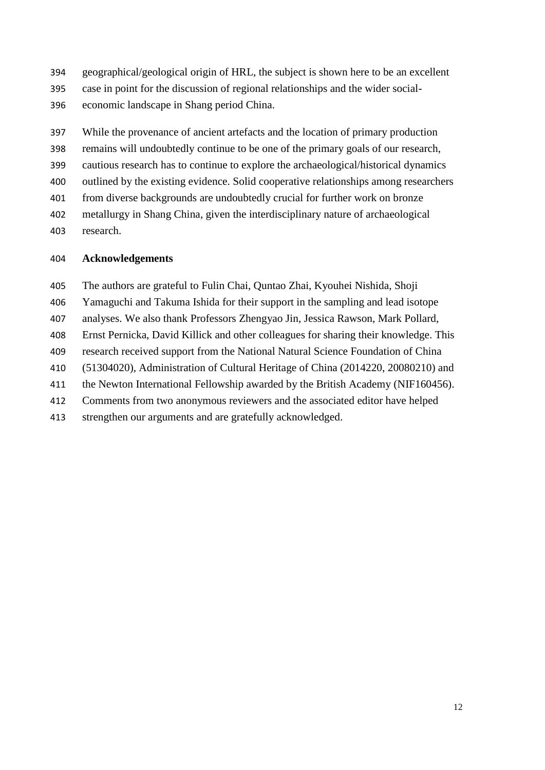geographical/geological origin of HRL, the subject is shown here to be an excellent case in point for the discussion of regional relationships and the wider social-economic landscape in Shang period China.

 While the provenance of ancient artefacts and the location of primary production remains will undoubtedly continue to be one of the primary goals of our research, cautious research has to continue to explore the archaeological/historical dynamics outlined by the existing evidence. Solid cooperative relationships among researchers from diverse backgrounds are undoubtedly crucial for further work on bronze metallurgy in Shang China, given the interdisciplinary nature of archaeological research.

#### **Acknowledgements**

- The authors are grateful to Fulin Chai, Quntao Zhai, Kyouhei Nishida, Shoji
- Yamaguchi and Takuma Ishida for their support in the sampling and lead isotope
- analyses. We also thank Professors Zhengyao Jin, Jessica Rawson, Mark Pollard,
- Ernst Pernicka, David Killick and other colleagues for sharing their knowledge. This
- research received support from the National Natural Science Foundation of China
- (51304020), Administration of Cultural Heritage of China (2014220, 20080210) and
- the Newton International Fellowship awarded by the British Academy (NIF160456).
- Comments from two anonymous reviewers and the associated editor have helped
- strengthen our arguments and are gratefully acknowledged.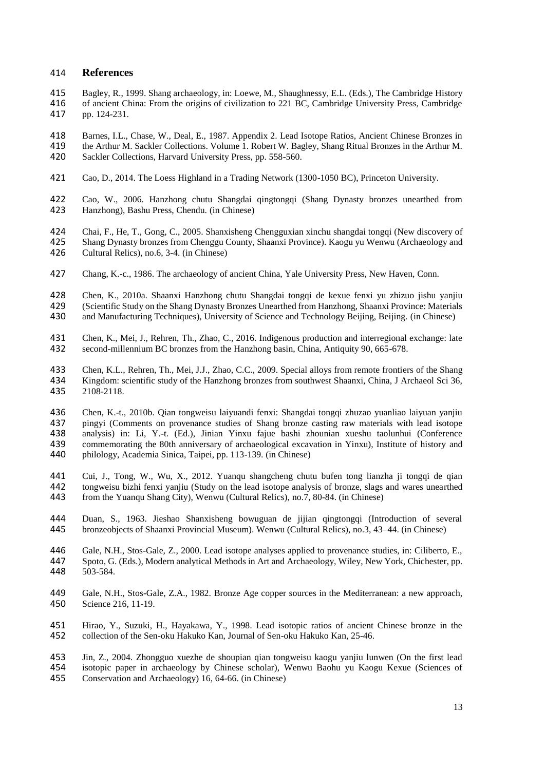#### 414 **References**

- 415 Bagley, R., 1999. Shang archaeology, in: Loewe, M., Shaughnessy, E.L. (Eds.), The Cambridge History 416 of ancient China: From the origins of civilization to 221 BC, Cambridge University Press, Cambridge pp. 124-231.
- 418 Barnes, I.L., Chase, W., Deal, E., 1987. Appendix 2. Lead Isotope Ratios, Ancient Chinese Bronzes in 419 the Arthur M. Sackler Collections. Volume 1. Robert W. Bagley, Shang Ritual Bronzes in the Arthur M.<br>420 Sackler Collections. Harvard University Press. pp. 558-560. Sackler Collections, Harvard University Press, pp. 558-560.
- 421 Cao, D., 2014. The Loess Highland in a Trading Network (1300-1050 BC), Princeton University.
- 422 Cao, W., 2006. Hanzhong chutu Shangdai qingtongqi (Shang Dynasty bronzes unearthed from Hanzhong), Bashu Press, Chendu. (in Chinese)
- 424 Chai, F., He, T., Gong, C., 2005. Shanxisheng Chengguxian xinchu shangdai tongqi (New discovery of 425 Shang Dynasty bronzes from Chenggu County, Shaanxi Province). Kaogu yu Wenwu (Archaeology and Cultural Relics), no.6, 3-4. (in Chinese)
- 427 Chang, K.-c., 1986. The archaeology of ancient China, Yale University Press, New Haven, Conn.
- 428 Chen, K., 2010a. Shaanxi Hanzhong chutu Shangdai tongqi de kexue fenxi yu zhizuo jishu yanjiu 429 (Scientific Study on the Shang Dynasty Bronzes Unearthed from Hanzhong, Shaanxi Province: Materials<br>430 and Manufacturing Techniques). University of Science and Technology Beijing. Beijing. (in Chinese) and Manufacturing Techniques), University of Science and Technology Beijing, Beijing. (in Chinese)
- 431 Chen, K., Mei, J., Rehren, Th., Zhao, C., 2016. Indigenous production and interregional exchange: late<br>432 second-millennium BC bronzes from the Hanzhong basin, China, Antiquity 90, 665-678. second-millennium BC bronzes from the Hanzhong basin, China, Antiquity 90, 665-678.
- 433 Chen, K.L., Rehren, Th., Mei, J.J., Zhao, C.C., 2009. Special alloys from remote frontiers of the Shang<br>434 Kingdom: scientific study of the Hanzhong bronzes from southwest Shaanxi, China, J Archaeol Sci 36, 434 Kingdom: scientific study of the Hanzhong bronzes from southwest Shaanxi, China, J Archaeol Sci 36, 2108-2118.
- 436 Chen, K.-t., 2010b. Qian tongweisu laiyuandi fenxi: Shangdai tongqi zhuzao yuanliao laiyuan yanjiu 437 pingyi (Comments on provenance studies of Shang bronze casting raw materials with lead isotope 438 analysis) in: Li, Y.-t. (Ed.), Jinian Yinxu fajue bashi zhounian xueshu taolunhui (Conference 439 commemorating the 80th anniversary of archaeological excavation in Yinxu), Institute of history and philology, Academia Sinica, Taipei, pp. 113-139. (in Chinese) philology, Academia Sinica, Taipei, pp. 113-139. (in Chinese)
- 441 Cui, J., Tong, W., Wu, X., 2012. Yuanqu shangcheng chutu bufen tong lianzha ji tongqi de qian<br>442 tongweisu bizhi fenxi yanjiu (Study on the lead isotope analysis of bronze, slags and wares unearthed 442 tongweisu bizhi fenxi yanjiu (Study on the lead isotope analysis of bronze, slags and wares unearthed from the Yuangu Shang City), Wenwu (Cultural Relics), no.7, 80-84. (in Chinese) from the Yuanqu Shang City), Wenwu (Cultural Relics), no.7, 80-84. (in Chinese)
- 444 Duan, S., 1963. Jieshao Shanxisheng bowuguan de jijian qingtongqi (Introduction of several 445 bronzeobiects of Shaanxi Provincial Museum). Wenwu (Cultural Relics). no.3. 43–44. (in Chinese) 445 bronzeobjects of Shaanxi Provincial Museum). Wenwu (Cultural Relics), no.3, 43–44. (in Chinese)
- 446 Gale, N.H., Stos-Gale, Z., 2000. Lead isotope analyses applied to provenance studies, in: Ciliberto, E., 447 Spoto, G. (Eds.), Modern analytical Methods in Art and Archaeology, Wiley, New York, Chichester, pp. 448 503-584.
- 449 Gale, N.H., Stos-Gale, Z.A., 1982. Bronze Age copper sources in the Mediterranean: a new approach, 450 Science 216, 11-19.
- 451 Hirao, Y., Suzuki, H., Hayakawa, Y., 1998. Lead isotopic ratios of ancient Chinese bronze in the collection of the Sen-oku Hakuko Kan, Journal of Sen-oku Hakuko Kan, 25-46. 452 collection of the Sen-oku Hakuko Kan, Journal of Sen-oku Hakuko Kan, 25-46.
- 453 Jin, Z., 2004. Zhongguo xuezhe de shoupian qian tongweisu kaogu yanjiu lunwen (On the first lead 454 isotopic paper in archaeology by Chinese scholar), Wenwu Baohu yu Kaogu Kexue (Sciences of Conservation and Archaeology) 16, 64-66. (in Chinese)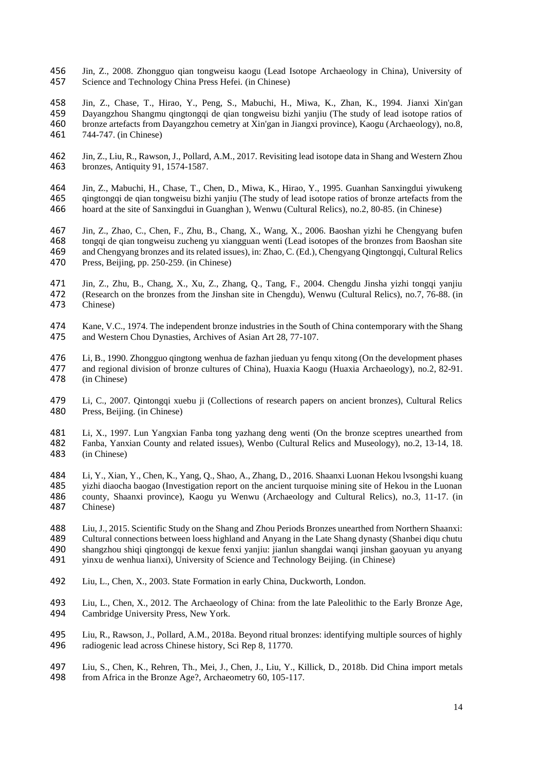- Jin, Z., 2008. Zhongguo qian tongweisu kaogu (Lead Isotope Archaeology in China), University of Science and Technology China Press Hefei. (in Chinese)
- Jin, Z., Chase, T., Hirao, Y., Peng, S., Mabuchi, H., Miwa, K., Zhan, K., 1994. Jianxi Xin'gan Dayangzhou Shangmu qingtongqi de qian tongweisu bizhi yanjiu (The study of lead isotope ratios of bronze artefacts from Dayangzhou cemetry at Xin'gan in Jiangxi province), Kaogu (Archaeology), no.8, 744-747. (in Chinese)
- Jin, Z., Liu, R., Rawson, J., Pollard, A.M., 2017. Revisiting lead isotope data in Shang and Western Zhou bronzes, Antiquity 91, 1574-1587.
- Jin, Z., Mabuchi, H., Chase, T., Chen, D., Miwa, K., Hirao, Y., 1995. Guanhan Sanxingdui yiwukeng qingtongqi de qian tongweisu bizhi yanjiu (The study of lead isotope ratios of bronze artefacts from the hoard at the site of Sanxingdui in Guanghan ), Wenwu (Cultural Relics), no.2, 80-85. (in Chinese)
- Jin, Z., Zhao, C., Chen, F., Zhu, B., Chang, X., Wang, X., 2006. Baoshan yizhi he Chengyang bufen 468 tongqi de qian tongweisu zucheng yu xiangguan wenti (Lead isotopes of the bronzes from Baoshan site<br>469 and Chengyang bronzes and its related issues), in: Zhao, C. (Ed.), Chengyang Qingtongqi, Cultural Relics and Chengyang bronzes and its related issues), in: Zhao, C. (Ed.), Chengyang Qingtongqi, Cultural Relics Press, Beijing, pp. 250-259. (in Chinese)
- Jin, Z., Zhu, B., Chang, X., Xu, Z., Zhang, Q., Tang, F., 2004. Chengdu Jinsha yizhi tongqi yanjiu (Research on the bronzes from the Jinshan site in Chengdu), Wenwu (Cultural Relics), no.7, 76-88. (in Chinese)
- 474 Kane, V.C., 1974. The independent bronze industries in the South of China contemporary with the Shang<br>475 and Western Chou Dynasties, Archives of Asian Art 28, 77-107. and Western Chou Dynasties, Archives of Asian Art 28, 77-107.
- 476 Li, B., 1990. Zhongguo qingtong wenhua de fazhan jieduan yu fenqu xitong (On the development phases and regional division of bronze cultures of China), Huaxia Kaogu (Huaxia Archaeology), no.2, 82-91. and regional division of bronze cultures of China), Huaxia Kaogu (Huaxia Archaeology), no.2, 82-91. (in Chinese)
- Li, C., 2007. Qintongqi xuebu ji (Collections of research papers on ancient bronzes), Cultural Relics Press, Beijing. (in Chinese)
- Li, X., 1997. Lun Yangxian Fanba tong yazhang deng wenti (On the bronze sceptres unearthed from Fanba, Yanxian County and related issues), Wenbo (Cultural Relics and Museology), no.2, 13-14, 18. (in Chinese)
- 484 Li, Y., Xian, Y., Chen, K., Yang, Q., Shao, A., Zhang, D., 2016. Shaanxi Luonan Hekou lvsongshi kuang<br>485 vizhi diaocha baogao (Investigation report on the ancient turquoise mining site of Hekou in the Luonan yizhi diaocha baogao (Investigation report on the ancient turquoise mining site of Hekou in the Luonan county, Shaanxi province), Kaogu yu Wenwu (Archaeology and Cultural Relics), no.3, 11-17. (in Chinese)
- Liu, J., 2015. Scientific Study on the Shang and Zhou Periods Bronzes unearthed from Northern Shaanxi: Cultural connections between loess highland and Anyang in the Late Shang dynasty (Shanbei diqu chutu shangzhou shiqi qingtongqi de kexue fenxi yanjiu: jianlun shangdai wanqi jinshan gaoyuan yu anyang yinxu de wenhua lianxi), University of Science and Technology Beijing. (in Chinese)
- Liu, L., Chen, X., 2003. State Formation in early China, Duckworth, London.
- Liu, L., Chen, X., 2012. The Archaeology of China: from the late Paleolithic to the Early Bronze Age, Cambridge University Press, New York.
- 495 Liu, R., Rawson, J., Pollard, A.M., 2018a. Beyond ritual bronzes: identifying multiple sources of highly radiogenic lead across Chinese history, Sci Rep 8, 11770. radiogenic lead across Chinese history, Sci Rep 8, 11770.
- Liu, S., Chen, K., Rehren, Th., Mei, J., Chen, J., Liu, Y., Killick, D., 2018b. Did China import metals from Africa in the Bronze Age?, Archaeometry 60, 105-117.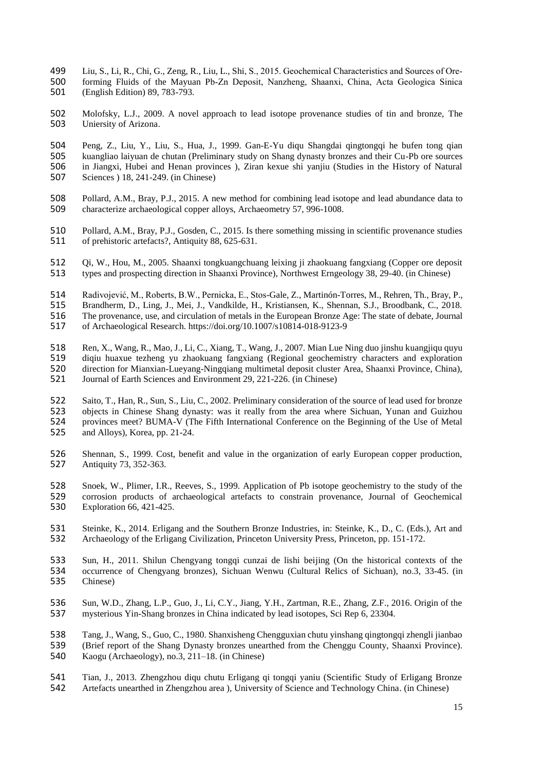- 499 Liu, S., Li, R., Chi, G., Zeng, R., Liu, L., Shi, S., 2015. Geochemical Characteristics and Sources of Ore‐ 500 forming Fluids of the Mayuan Pb‐Zn Deposit, Nanzheng, Shaanxi, China, Acta Geologica Sinica 501 (English Edition) 89, 783-793.
- 502 Molofsky, L.J., 2009. A novel approach to lead isotope provenance studies of tin and bronze, The 503 Uniersity of Arizona.
- 504 Peng, Z., Liu, Y., Liu, S., Hua, J., 1999. Gan-E-Yu diqu Shangdai qingtongqi he bufen tong qian 505 kuangliao laiyuan de chutan (Preliminary study on Shang dynasty bronzes and their Cu-Pb ore sources 506 in Jiangxi. Hubei and Henan provinces). Ziran kexue shi vaniju (Studies in the History of Natural 506 in Jiangxi, Hubei and Henan provinces ), Ziran kexue shi yanjiu (Studies in the History of Natural Sciences ) 18, 241-249. (in Chinese)
- 508 Pollard, A.M., Bray, P.J., 2015. A new method for combining lead isotope and lead abundance data to 509 characterize archaeological copper alloys, Archaeometry 57, 996-1008.
- 510 Pollard, A.M., Bray, P.J., Gosden, C., 2015. Is there something missing in scientific provenance studies 511 of prehistoric artefacts?, Antiquity 88, 625-631.
- 512 Qi, W., Hou, M., 2005. Shaanxi tongkuangchuang leixing ji zhaokuang fangxiang (Copper ore deposit types and prospecting direction in Shaanxi Province), Northwest Erngeology 38, 29-40. (in Chinese) types and prospecting direction in Shaanxi Province), Northwest Erngeology 38, 29-40. (in Chinese)
- 514 Radivojević, M., Roberts, B.W., Pernicka, E., Stos-Gale, Z., Martinón-Torres, M., Rehren, Th., Bray, P., 515 Brandherm, D., Ling, J., Mei, J., Vandkilde, H., Kristiansen, K., Shennan, S.J., Broodbank, C., 2018. 515 Brandherm, D., Ling, J., Mei, J., Vandkilde, H., Kristiansen, K., Shennan, S.J., Broodbank, C., 2018.<br>516 The provenance, use, and circulation of metals in the European Bronze Age: The state of debate, Journal
- 516 The provenance, use, and circulation of metals in the European Bronze Age: The state of debate, Journal<br>517 of Archaeological Research. https://doi.org/10.1007/s10814-018-9123-9 517 of Archaeological Research. https://doi.org/10.1007/s10814-018-9123-9
- 
- 518 Ren, X., Wang, R., Mao, J., Li, C., Xiang, T., Wang, J., 2007. Mian Lue Ning duo jinshu kuangjiqu quyu diqiu huaxue tezheng yu zhaokuang fangxiang (Regional geochemistry characters and exploration 519 diqiu huaxue tezheng yu zhaokuang fangxiang (Regional geochemistry characters and exploration<br>520 direction for Mianxian-Lueyang-Ningqiang multimetal deposit cluster Area, Shaanxi Province, China), 520 direction for Mianxian-Lueyang-Ningqiang multimetal deposit cluster Area, Shaanxi Province, China), 521 Journal of Earth Sciences and Environment 29, 221-226. (in Chinese) 521 Journal of Earth Sciences and Environment 29, 221-226. (in Chinese)
- 522 Saito, T., Han, R., Sun, S., Liu, C., 2002. Preliminary consideration of the source of lead used for bronze<br>523 objects in Chinese Shang dynasty: was it really from the area where Sichuan, Yunan and Guizhou 523 objects in Chinese Shang dynasty: was it really from the area where Sichuan, Yunan and Guizhou 524 provinces meet? BUMA-V (The Fifth International Conference on the Beginning of the Use of Metal 525 and Alloys), Korea, pp. 21-24.
- 526 Shennan, S., 1999. Cost, benefit and value in the organization of early European copper production, 527 Antiquity 73, 352-363. Antiquity 73, 352-363.
- 528 Snoek, W., Plimer, I.R., Reeves, S., 1999. Application of Pb isotope geochemistry to the study of the 529 corrosion products of archaeological artefacts to constrain provenance, Journal of Geochemical 530 Exploration 66, 421-425. Exploration 66, 421-425.
- 531 Steinke, K., 2014. Erligang and the Southern Bronze Industries, in: Steinke, K., D., C. (Eds.), Art and 532 Archaeology of the Erligang Civilization. Princeton University Press. Princeton. pp. 151-172. 532 Archaeology of the Erligang Civilization, Princeton University Press, Princeton, pp. 151-172.
- 533 Sun, H., 2011. Shilun Chengyang tongqi cunzai de lishi beijing (On the historical contexts of the occurrence of Chengyang bronzes). Sichuan Wenwu (Cultural Relics of Sichuan), no.3, 33-45. (in 534 occurrence of Chengyang bronzes), Sichuan Wenwu (Cultural Relics of Sichuan), no.3, 33-45. (in 535 Chinese)
- 536 Sun, W.D., Zhang, L.P., Guo, J., Li, C.Y., Jiang, Y.H., Zartman, R.E., Zhang, Z.F., 2016. Origin of the 537 mysterious Yin-Shang bronzes in China indicated by lead isotopes, Sci Rep 6, 23304.
- 538 Tang, J., Wang, S., Guo, C., 1980. Shanxisheng Chengguxian chutu yinshang qingtongqi zhengli jianbao 539 (Brief report of the Shang Dynasty bronzes unearthed from the Chenggu County, Shaanxi Province).<br>540 Kaogu (Archaeology), no.3, 211–18, (in Chinese) 540 Kaogu (Archaeology), no.3, 211–18. (in Chinese)
- 541 Tian, J., 2013. Zhengzhou diqu chutu Erligang qi tongqi yaniu (Scientific Study of Erligang Bronze 542 Artefacts unearthed in Zhengzhou area). University of Science and Technology China. (in Chinese) 542 Artefacts unearthed in Zhengzhou area ), University of Science and Technology China. (in Chinese)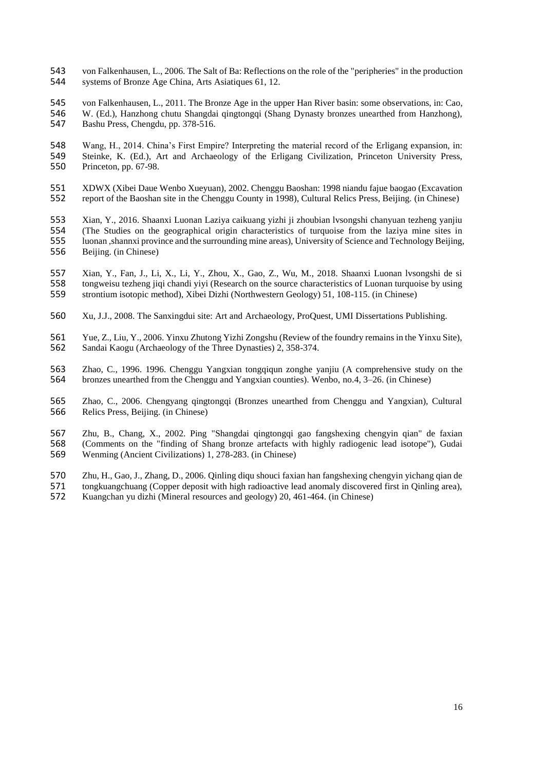- von Falkenhausen, L., 2006. The Salt of Ba: Reflections on the role of the "peripheries" in the production systems of Bronze Age China, Arts Asiatiques 61, 12.
- von Falkenhausen, L., 2011. The Bronze Age in the upper Han River basin: some observations, in: Cao, W. (Ed.), Hanzhong chutu Shangdai qingtongqi (Shang Dynasty bronzes unearthed from Hanzhong), Bashu Press, Chengdu, pp. 378-516.
- Wang, H., 2014. China's First Empire? Interpreting the material record of the Erligang expansion, in: 549 Steinke, K. (Ed.), Art and Archaeology of the Erligang Civilization, Princeton University Press, 550 Princeton pp. 67-98. Princeton, pp. 67-98.
- 551 XDWX (Xibei Daue Wenbo Xueyuan), 2002. Chenggu Baoshan: 1998 niandu fajue baogao (Excavation 552 report of the Baoshan site in the Chenggu County in 1998), Cultural Relics Press, Beijing. (in Chinese) report of the Baoshan site in the Chenggu County in 1998), Cultural Relics Press, Beijing. (in Chinese)
- Xian, Y., 2016. Shaanxi Luonan Laziya caikuang yizhi ji zhoubian lvsongshi chanyuan tezheng yanjiu (The Studies on the geographical origin characteristics of turquoise from the laziya mine sites in luonan ,shannxi province and the surrounding mine areas), University of Science and Technology Beijing, Beijing. (in Chinese)
- Xian, Y., Fan, J., Li, X., Li, Y., Zhou, X., Gao, Z., Wu, M., 2018. Shaanxi Luonan lvsongshi de si 558 tongweisu tezheng jiqi chandi yiyi (Research on the source characteristics of Luonan turquoise by using<br>559 strontium isotopic method), Xibei Dizhi (Northwestern Geology) 51, 108-115. (in Chinese) strontium isotopic method), Xibei Dizhi (Northwestern Geology) 51, 108-115. (in Chinese)
- Xu, J.J., 2008. The Sanxingdui site: Art and Archaeology, ProQuest, UMI Dissertations Publishing.
- 561 Yue, Z., Liu, Y., 2006. Yinxu Zhutong Yizhi Zongshu (Review of the foundry remains in the Yinxu Site),<br>562 Sandai Kaogu (Archaeology of the Three Dynasties) 2, 358-374. Sandai Kaogu (Archaeology of the Three Dynasties) 2, 358-374.
- Zhao, C., 1996. 1996. Chenggu Yangxian tongqiqun zonghe yanjiu (A comprehensive study on the bronzes unearthed from the Chenggu and Yangxian counties). Wenbo, no.4, 3–26. (in Chinese)
- Zhao, C., 2006. Chengyang qingtongqi (Bronzes unearthed from Chenggu and Yangxian), Cultural Relics Press, Beijing. (in Chinese)
- 567 Zhu, B., Chang, X., 2002. Ping "Shangdai qingtongqi gao fangshexing chengyin qian" de faxian 568 (Comments on the "finding of Shang bronze artefacts with highly radiogenic lead isotope"), Gudai 568 (Comments on the "finding of Shang bronze artefacts with highly radiogenic lead isotope"), Gudai<br>569 Wenming (Ancient Civilizations) 1, 278-283. (in Chinese) Wenming (Ancient Civilizations) 1, 278-283. (in Chinese)
- 570 Zhu, H., Gao, J., Zhang, D., 2006. Qinling diqu shouci faxian han fangshexing chengyin yichang qian de<br>571 tongkuangchuang (Copper deposit with high radioactive lead anomaly discovered first in Oinling area). 571 tongkuangchuang (Copper deposit with high radioactive lead anomaly discovered first in Qinling area),<br>572 Kuangchan yu dizhi (Mineral resources and geology) 20, 461-464. (in Chinese) Kuangchan yu dizhi (Mineral resources and geology) 20, 461-464. (in Chinese)